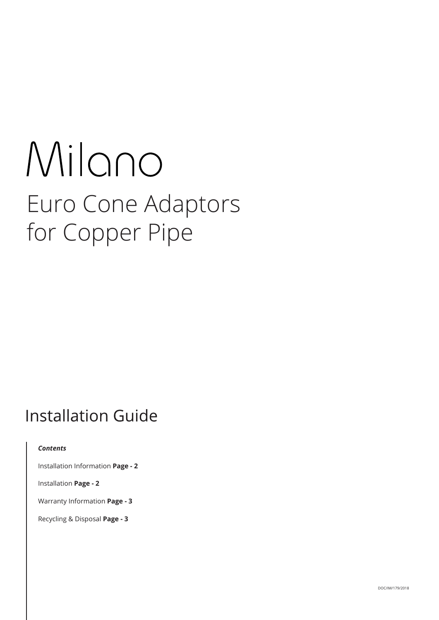# Milano Euro Cone Adaptors for Copper Pipe

## **Installation Guide**

#### *Contents*

Installation Information **Page ‑ 2**

Installation **Page ‑ 2**

Warranty Information **Page ‑ 3**

Recycling & Disposal **Page ‑ 3**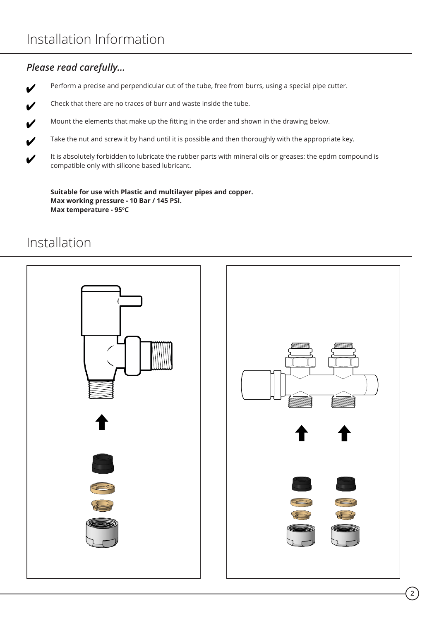#### *Please read carefully...*

Perform a precise and perpendicular cut of the tube, free from burrs, using a special pipe cutter.  $\boldsymbol{\nu}$ 

Check that there are no traces of burr and waste inside the tube.  $\boldsymbol{\nu}$ 

Mount the elements that make up the fitting in the order and shown in the drawing below.  $\boldsymbol{\nu}$ 

Take the nut and screw it by hand until it is possible and then thoroughly with the appropriate key.  $\boldsymbol{\nu}$ 

It is absolutely forbidden to lubricate the rubber parts with mineral oils or greases: the epdm compound is  $\boldsymbol{\ell}$ compatible only with silicone based lubricant.

**Suitable for use with Plastic and multilayer pipes and copper. Max working pressure ‑ 10 Bar / 145 PSI. Max temperature ‑ 95<sup>o</sup>C**

#### Installation